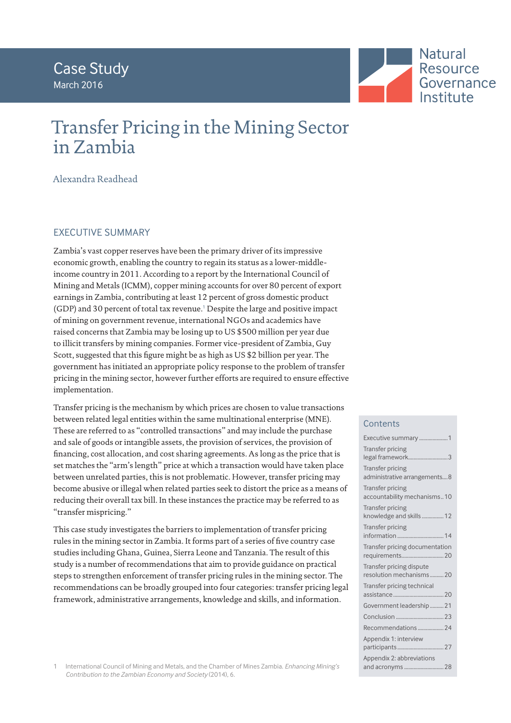

# Transfer Pricing in the Mining Sector in Zambia

Alexandra Readhead

# EXECUTIVE SUMMARY

Zambia's vast copper reserves have been the primary driver of its impressive economic growth, enabling the country to regain its status as a lower-middleincome country in 2011. According to a report by the International Council of Mining and Metals (ICMM), copper mining accounts for over 80 percent of export earnings in Zambia, contributing at least 12 percent of gross domestic product (GDP) and 30 percent of total tax revenue.<sup>1</sup> Despite the large and positive impact of mining on government revenue, international NGOs and academics have raised concerns that Zambia may be losing up to US \$500 million per year due to illicit transfers by mining companies. Former vice-president of Zambia, Guy Scott, suggested that this figure might be as high as US \$2 billion per year. The government has initiated an appropriate policy response to the problem of transfer pricing in the mining sector, however further efforts are required to ensure effective implementation.

Transfer pricing is the mechanism by which prices are chosen to value transactions between related legal entities within the same multinational enterprise (MNE). These are referred to as "controlled transactions" and may include the purchase and sale of goods or intangible assets, the provision of services, the provision of financing, cost allocation, and cost sharing agreements. As long as the price that is set matches the "arm's length" price at which a transaction would have taken place between unrelated parties, this is not problematic. However, transfer pricing may become abusive or illegal when related parties seek to distort the price as a means of reducing their overall tax bill. In these instances the practice may be referred to as "transfer mispricing."

This case study investigates the barriers to implementation of transfer pricing rules in the mining sector in Zambia. It forms part of a series of five country case studies including Ghana, Guinea, Sierra Leone and Tanzania. The result of this study is a number of recommendations that aim to provide guidance on practical steps to strengthen enforcement of transfer pricing rules in the mining sector. The recommendations can be broadly grouped into four categories: transfer pricing legal framework, administrative arrangements, knowledge and skills, and information.

# **Contents**

| Executive summary 1                                     |
|---------------------------------------------------------|
| <b>Transfer pricing</b><br>legal framework3             |
| <b>Transfer pricing</b><br>administrative arrangements8 |
| <b>Transfer pricing</b><br>accountability mechanisms10  |
| <b>Transfer pricing</b><br>knowledge and skills  12     |
| Transfer pricing                                        |
| Transfer pricing documentation                          |
| Transfer pricing dispute<br>resolution mechanisms 20    |
| Transfer pricing technical                              |
| Government leadership  21                               |
|                                                         |
| Recommendations 24                                      |
| Appendix 1: interview                                   |
| Appendix 2: abbreviations<br>and acronyms  28           |

1 International Council of Mining and Metals, and the Chamber of Mines Zambia. *Enhancing Mining's Contribution to the Zambian Economy and Society* (2014), 6.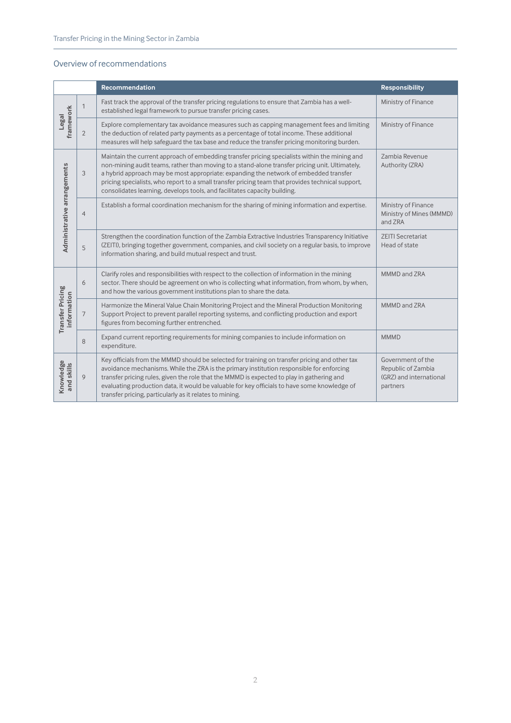## Overview of recommendations

|                                 |                | <b>Recommendation</b>                                                                                                                                                                                                                                                                                                                                                                                                                                                      | <b>Responsibility</b>                                                          |
|---------------------------------|----------------|----------------------------------------------------------------------------------------------------------------------------------------------------------------------------------------------------------------------------------------------------------------------------------------------------------------------------------------------------------------------------------------------------------------------------------------------------------------------------|--------------------------------------------------------------------------------|
|                                 | 1              | Fast track the approval of the transfer pricing regulations to ensure that Zambia has a well-<br>established legal framework to pursue transfer pricing cases.                                                                                                                                                                                                                                                                                                             | Ministry of Finance                                                            |
| framework<br>Legal              | $\overline{2}$ | Explore complementary tax avoidance measures such as capping management fees and limiting<br>the deduction of related party payments as a percentage of total income. These additional<br>measures will help safeguard the tax base and reduce the transfer pricing monitoring burden.                                                                                                                                                                                     | Ministry of Finance                                                            |
| Administrative arrangements     | 3              | Maintain the current approach of embedding transfer pricing specialists within the mining and<br>non-mining audit teams, rather than moving to a stand-alone transfer pricing unit. Ultimately,<br>a hybrid approach may be most appropriate: expanding the network of embedded transfer<br>pricing specialists, who report to a small transfer pricing team that provides technical support,<br>consolidates learning, develops tools, and facilitates capacity building. | Zambia Revenue<br>Authority (ZRA)                                              |
|                                 | $\overline{4}$ | Establish a formal coordination mechanism for the sharing of mining information and expertise.                                                                                                                                                                                                                                                                                                                                                                             | Ministry of Finance<br>Ministry of Mines (MMMD)<br>and ZRA                     |
|                                 | 5              | Strengthen the coordination function of the Zambia Extractive Industries Transparency Initiative<br>(ZEITI), bringing together government, companies, and civil society on a regular basis, to improve<br>information sharing, and build mutual respect and trust.                                                                                                                                                                                                         | <b>ZEITI Secretariat</b><br>Head of state                                      |
|                                 | 6              | Clarify roles and responsibilities with respect to the collection of information in the mining<br>sector. There should be agreement on who is collecting what information, from whom, by when,<br>and how the various government institutions plan to share the data.                                                                                                                                                                                                      | MMMD and ZRA                                                                   |
| Transfer Pricing<br>information | 7              | Harmonize the Mineral Value Chain Monitoring Project and the Mineral Production Monitoring<br>Support Project to prevent parallel reporting systems, and conflicting production and export<br>figures from becoming further entrenched.                                                                                                                                                                                                                                    | MMMD and ZRA                                                                   |
|                                 | 8              | Expand current reporting requirements for mining companies to include information on<br>expenditure.                                                                                                                                                                                                                                                                                                                                                                       | <b>MMMD</b>                                                                    |
| Knowledge<br>and skills         | 9              | Key officials from the MMMD should be selected for training on transfer pricing and other tax<br>avoidance mechanisms. While the ZRA is the primary institution responsible for enforcing<br>transfer pricing rules, given the role that the MMMD is expected to play in gathering and<br>evaluating production data, it would be valuable for key officials to have some knowledge of<br>transfer pricing, particularly as it relates to mining.                          | Government of the<br>Republic of Zambia<br>(GRZ) and international<br>partners |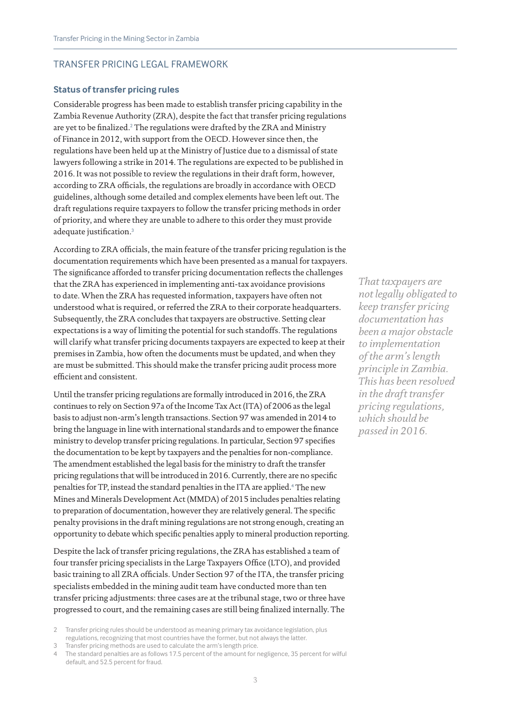#### TRANSFER PRICING LEGAL FRAMEWORK

#### **Status of transfer pricing rules**

Considerable progress has been made to establish transfer pricing capability in the Zambia Revenue Authority (ZRA), despite the fact that transfer pricing regulations are yet to be finalized. $^2$  The regulations were drafted by the ZRA and Ministry of Finance in 2012, with support from the OECD. However since then, the regulations have been held up at the Ministry of Justice due to a dismissal of state lawyers following a strike in 2014. The regulations are expected to be published in 2016. It was not possible to review the regulations in their draft form, however, according to ZRA officials, the regulations are broadly in accordance with OECD guidelines, although some detailed and complex elements have been left out. The draft regulations require taxpayers to follow the transfer pricing methods in order of priority, and where they are unable to adhere to this order they must provide adequate justification.<sup>3</sup>

According to ZRA officials, the main feature of the transfer pricing regulation is the documentation requirements which have been presented as a manual for taxpayers. The significance afforded to transfer pricing documentation reflects the challenges that the ZRA has experienced in implementing anti-tax avoidance provisions to date. When the ZRA has requested information, taxpayers have often not understood what is required, or referred the ZRA to their corporate headquarters. Subsequently, the ZRA concludes that taxpayers are obstructive. Setting clear expectations is a way of limiting the potential for such standoffs. The regulations will clarify what transfer pricing documents taxpayers are expected to keep at their premises in Zambia, how often the documents must be updated, and when they are must be submitted. This should make the transfer pricing audit process more efficient and consistent.

Until the transfer pricing regulations are formally introduced in 2016, the ZRA continues to rely on Section 97a of the Income Tax Act (ITA) of 2006 as the legal basis to adjust non-arm's length transactions. Section 97 was amended in 2014 to bring the language in line with international standards and to empower the finance ministry to develop transfer pricing regulations. In particular, Section 97 specifies the documentation to be kept by taxpayers and the penalties for non-compliance. The amendment established the legal basis for the ministry to draft the transfer pricing regulations that will be introduced in 2016. Currently, there are no specific penalties for TP, instead the standard penalties in the ITA are applied.<sup>4</sup> The new Mines and Minerals Development Act (MMDA) of 2015 includes penalties relating to preparation of documentation, however they are relatively general. The specific penalty provisions in the draft mining regulations are not strong enough, creating an opportunity to debate which specific penalties apply to mineral production reporting.

Despite the lack of transfer pricing regulations, the ZRA has established a team of four transfer pricing specialists in the Large Taxpayers Office (LTO), and provided basic training to all ZRA officials. Under Section 97 of the ITA, the transfer pricing specialists embedded in the mining audit team have conducted more than ten transfer pricing adjustments: three cases are at the tribunal stage, two or three have progressed to court, and the remaining cases are still being finalized internally. The

Transfer pricing methods are used to calculate the arm's length price.

*That taxpayers are not legally obligated to keep transfer pricing documentation has been a major obstacle to implementation of the arm's length principle in Zambia. This has been resolved in the draft transfer pricing regulations, which should be passed in 2016.*

<sup>2</sup> Transfer pricing rules should be understood as meaning primary tax avoidance legislation, plus regulations, recognizing that most countries have the former, but not always the latter.

The standard penalties are as follows 17.5 percent of the amount for negligence, 35 percent for wilful default, and 52.5 percent for fraud.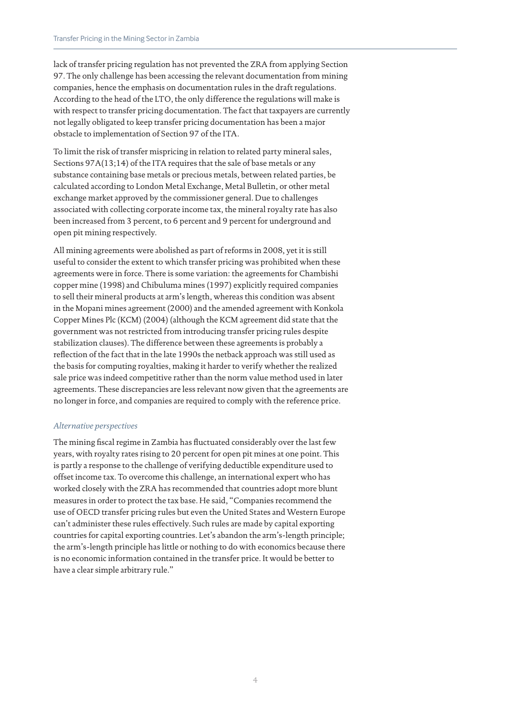lack of transfer pricing regulation has not prevented the ZRA from applying Section 97. The only challenge has been accessing the relevant documentation from mining companies, hence the emphasis on documentation rules in the draft regulations. According to the head of the LTO, the only difference the regulations will make is with respect to transfer pricing documentation. The fact that taxpayers are currently not legally obligated to keep transfer pricing documentation has been a major obstacle to implementation of Section 97 of the ITA.

To limit the risk of transfer mispricing in relation to related party mineral sales, Sections 97A(13;14) of the ITA requires that the sale of base metals or any substance containing base metals or precious metals, between related parties, be calculated according to London Metal Exchange, Metal Bulletin, or other metal exchange market approved by the commissioner general. Due to challenges associated with collecting corporate income tax, the mineral royalty rate has also been increased from 3 percent, to 6 percent and 9 percent for underground and open pit mining respectively.

All mining agreements were abolished as part of reforms in 2008, yet it is still useful to consider the extent to which transfer pricing was prohibited when these agreements were in force. There is some variation: the agreements for Chambishi copper mine (1998) and Chibuluma mines (1997) explicitly required companies to sell their mineral products at arm's length, whereas this condition was absent in the Mopani mines agreement (2000) and the amended agreement with Konkola Copper Mines Plc (KCM) (2004) (although the KCM agreement did state that the government was not restricted from introducing transfer pricing rules despite stabilization clauses). The difference between these agreements is probably a reflection of the fact that in the late 1990s the netback approach was still used as the basis for computing royalties, making it harder to verify whether the realized sale price was indeed competitive rather than the norm value method used in later agreements. These discrepancies are less relevant now given that the agreements are no longer in force, and companies are required to comply with the reference price.

#### *Alternative perspectives*

The mining fiscal regime in Zambia has fluctuated considerably over the last few years, with royalty rates rising to 20 percent for open pit mines at one point. This is partly a response to the challenge of verifying deductible expenditure used to offset income tax. To overcome this challenge, an international expert who has worked closely with the ZRA has recommended that countries adopt more blunt measures in order to protect the tax base. He said, "Companies recommend the use of OECD transfer pricing rules but even the United States and Western Europe can't administer these rules effectively. Such rules are made by capital exporting countries for capital exporting countries. Let's abandon the arm's-length principle; the arm's-length principle has little or nothing to do with economics because there is no economic information contained in the transfer price. It would be better to have a clear simple arbitrary rule."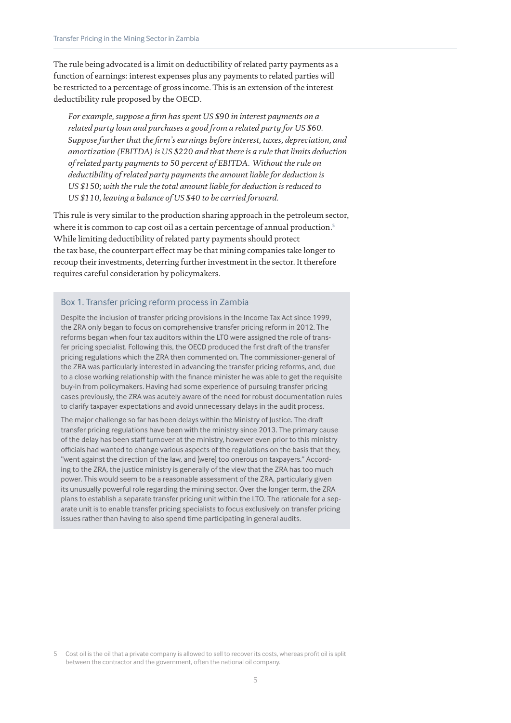The rule being advocated is a limit on deductibility of related party payments as a function of earnings: interest expenses plus any payments to related parties will be restricted to a percentage of gross income. This is an extension of the interest deductibility rule proposed by the OECD.

*For example, suppose a firm has spent US \$90 in interest payments on a related party loan and purchases a good from a related party for US \$60. Suppose further that the firm's earnings before interest, taxes, depreciation, and amortization (EBITDA) is US \$220 and that there is a rule that limits deduction of related party payments to 50 percent of EBITDA. Without the rule on deductibility of related party payments the amount liable for deduction is US \$150; with the rule the total amount liable for deduction is reduced to US \$110, leaving a balance of US \$40 to be carried forward.* 

This rule is very similar to the production sharing approach in the petroleum sector, where it is common to cap cost oil as a certain percentage of annual production.<sup>5</sup> While limiting deductibility of related party payments should protect the tax base, the counterpart effect may be that mining companies take longer to recoup their investments, deterring further investment in the sector. It therefore requires careful consideration by policymakers.

#### Box 1. Transfer pricing reform process in Zambia

Despite the inclusion of transfer pricing provisions in the Income Tax Act since 1999, the ZRA only began to focus on comprehensive transfer pricing reform in 2012. The reforms began when four tax auditors within the LTO were assigned the role of transfer pricing specialist. Following this, the OECD produced the first draft of the transfer pricing regulations which the ZRA then commented on. The commissioner-general of the ZRA was particularly interested in advancing the transfer pricing reforms, and, due to a close working relationship with the finance minister he was able to get the requisite buy-in from policymakers. Having had some experience of pursuing transfer pricing cases previously, the ZRA was acutely aware of the need for robust documentation rules to clarify taxpayer expectations and avoid unnecessary delays in the audit process.

The major challenge so far has been delays within the Ministry of Justice. The draft transfer pricing regulations have been with the ministry since 2013. The primary cause of the delay has been staff turnover at the ministry, however even prior to this ministry officials had wanted to change various aspects of the regulations on the basis that they, "went against the direction of the law, and [were] too onerous on taxpayers." According to the ZRA, the justice ministry is generally of the view that the ZRA has too much power. This would seem to be a reasonable assessment of the ZRA, particularly given its unusually powerful role regarding the mining sector. Over the longer term, the ZRA plans to establish a separate transfer pricing unit within the LTO. The rationale for a separate unit is to enable transfer pricing specialists to focus exclusively on transfer pricing issues rather than having to also spend time participating in general audits.

Cost oil is the oil that a private company is allowed to sell to recover its costs, whereas profit oil is split between the contractor and the government, often the national oil company.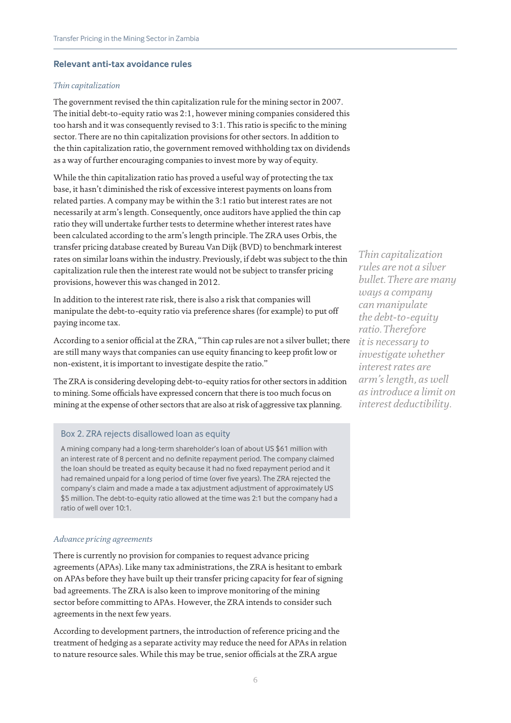#### **Relevant anti-tax avoidance rules**

#### *Thin capitalization*

The government revised the thin capitalization rule for the mining sector in 2007. The initial debt-to-equity ratio was 2:1, however mining companies considered this too harsh and it was consequently revised to 3:1. This ratio is specific to the mining sector. There are no thin capitalization provisions for other sectors. In addition to the thin capitalization ratio, the government removed withholding tax on dividends as a way of further encouraging companies to invest more by way of equity.

While the thin capitalization ratio has proved a useful way of protecting the tax base, it hasn't diminished the risk of excessive interest payments on loans from related parties. A company may be within the 3:1 ratio but interest rates are not necessarily at arm's length. Consequently, once auditors have applied the thin cap ratio they will undertake further tests to determine whether interest rates have been calculated according to the arm's length principle. The ZRA uses Orbis, the transfer pricing database created by Bureau Van Dijk (BVD) to benchmark interest rates on similar loans within the industry. Previously, if debt was subject to the thin capitalization rule then the interest rate would not be subject to transfer pricing provisions, however this was changed in 2012.

In addition to the interest rate risk, there is also a risk that companies will manipulate the debt-to-equity ratio via preference shares (for example) to put off paying income tax.

According to a senior official at the ZRA, "Thin cap rules are not a silver bullet; there are still many ways that companies can use equity financing to keep profit low or non-existent, it is important to investigate despite the ratio."

The ZRA is considering developing debt-to-equity ratios for other sectors in addition to mining. Some officials have expressed concern that there is too much focus on mining at the expense of other sectors that are also at risk of aggressive tax planning.

#### Box 2. ZRA rejects disallowed loan as equity

A mining company had a long-term shareholder's loan of about US \$61 million with an interest rate of 8 percent and no definite repayment period. The company claimed the loan should be treated as equity because it had no fixed repayment period and it had remained unpaid for a long period of time (over five years). The ZRA rejected the company's claim and made a made a tax adjustment adjustment of approximately US \$5 million. The debt-to-equity ratio allowed at the time was 2:1 but the company had a ratio of well over 10:1.

#### *Advance pricing agreements*

There is currently no provision for companies to request advance pricing agreements (APAs). Like many tax administrations, the ZRA is hesitant to embark on APAs before they have built up their transfer pricing capacity for fear of signing bad agreements. The ZRA is also keen to improve monitoring of the mining sector before committing to APAs. However, the ZRA intends to consider such agreements in the next few years.

According to development partners, the introduction of reference pricing and the treatment of hedging as a separate activity may reduce the need for APAs in relation to nature resource sales. While this may be true, senior officials at the ZRA argue

*Thin capitalization rules are not a silver bullet. There are many ways a company can manipulate the debt-to-equity ratio. Therefore it is necessary to investigate whether interest rates are arm's length, as well as introduce a limit on interest deductibility.*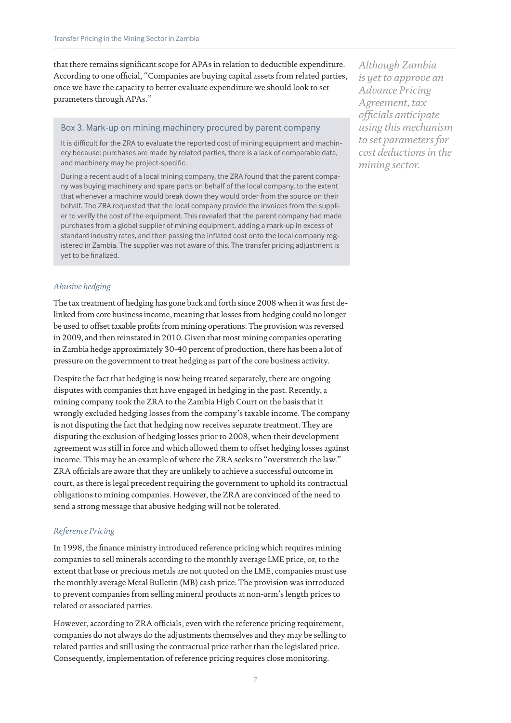that there remains significant scope for APAs in relation to deductible expenditure. According to one official, "Companies are buying capital assets from related parties, once we have the capacity to better evaluate expenditure we should look to set parameters through APAs."

# Box 3. Mark-up on mining machinery procured by parent company

It is difficult for the ZRA to evaluate the reported cost of mining equipment and machinery because: purchases are made by related parties, there is a lack of comparable data, and machinery may be project-specific.

During a recent audit of a local mining company, the ZRA found that the parent company was buying machinery and spare parts on behalf of the local company, to the extent that whenever a machine would break down they would order from the source on their behalf. The ZRA requested that the local company provide the invoices from the supplier to verify the cost of the equipment. This revealed that the parent company had made purchases from a global supplier of mining equipment, adding a mark-up in excess of standard industry rates, and then passing the inflated cost onto the local company registered in Zambia. The supplier was not aware of this. The transfer pricing adjustment is yet to be finalized.

*Abusive hedging*

The tax treatment of hedging has gone back and forth since 2008 when it was first delinked from core business income, meaning that losses from hedging could no longer be used to offset taxable profits from mining operations. The provision was reversed in 2009, and then reinstated in 2010. Given that most mining companies operating in Zambia hedge approximately 30-40 percent of production, there has been a lot of pressure on the government to treat hedging as part of the core business activity.

Despite the fact that hedging is now being treated separately, there are ongoing disputes with companies that have engaged in hedging in the past. Recently, a mining company took the ZRA to the Zambia High Court on the basis that it wrongly excluded hedging losses from the company's taxable income. The company is not disputing the fact that hedging now receives separate treatment. They are disputing the exclusion of hedging losses prior to 2008, when their development agreement was still in force and which allowed them to offset hedging losses against income. This may be an example of where the ZRA seeks to "overstretch the law." ZRA officials are aware that they are unlikely to achieve a successful outcome in court, as there is legal precedent requiring the government to uphold its contractual obligations to mining companies. However, the ZRA are convinced of the need to send a strong message that abusive hedging will not be tolerated.

#### *Reference Pricing*

In 1998, the finance ministry introduced reference pricing which requires mining companies to sell minerals according to the monthly average LME price, or, to the extent that base or precious metals are not quoted on the LME, companies must use the monthly average Metal Bulletin (MB) cash price. The provision was introduced to prevent companies from selling mineral products at non-arm's length prices to related or associated parties.

However, according to ZRA officials, even with the reference pricing requirement, companies do not always do the adjustments themselves and they may be selling to related parties and still using the contractual price rather than the legislated price. Consequently, implementation of reference pricing requires close monitoring.

*Although Zambia is yet to approve an Advance Pricing Agreement, tax officials anticipate using this mechanism to set parameters for cost deductions in the mining sector.*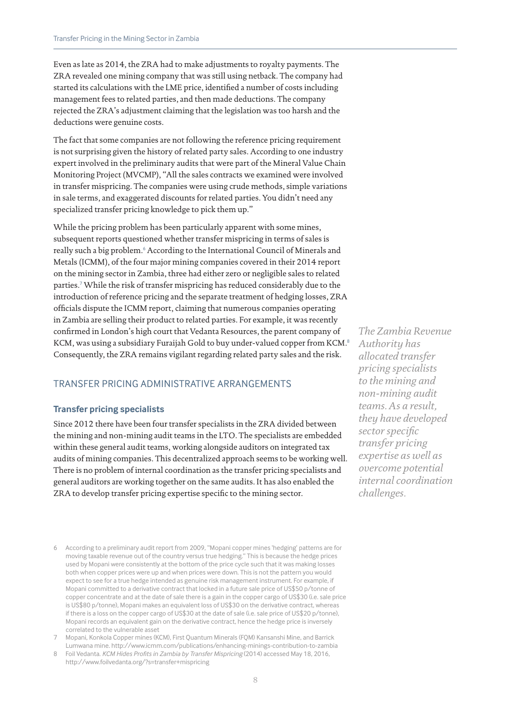Even as late as 2014, the ZRA had to make adjustments to royalty payments. The ZRA revealed one mining company that was still using netback. The company had started its calculations with the LME price, identified a number of costs including management fees to related parties, and then made deductions. The company rejected the ZRA's adjustment claiming that the legislation was too harsh and the deductions were genuine costs.

The fact that some companies are not following the reference pricing requirement is not surprising given the history of related party sales. According to one industry expert involved in the preliminary audits that were part of the Mineral Value Chain Monitoring Project (MVCMP), "All the sales contracts we examined were involved in transfer mispricing. The companies were using crude methods, simple variations in sale terms, and exaggerated discounts for related parties. You didn't need any specialized transfer pricing knowledge to pick them up."

While the pricing problem has been particularly apparent with some mines, subsequent reports questioned whether transfer mispricing in terms of sales is really such a big problem.<sup>6</sup> According to the International Council of Minerals and Metals (ICMM), of the four major mining companies covered in their 2014 report on the mining sector in Zambia, three had either zero or negligible sales to related parties.<sup>7</sup> While the risk of transfer mispricing has reduced considerably due to the introduction of reference pricing and the separate treatment of hedging losses, ZRA officials dispute the ICMM report, claiming that numerous companies operating in Zambia are selling their product to related parties. For example, it was recently confirmed in London's high court that Vedanta Resources, the parent company of KCM, was using a subsidiary Furaijah Gold to buy under-valued copper from KCM.<sup>8</sup> Consequently, the ZRA remains vigilant regarding related party sales and the risk.

# TRANSFER PRICING ADMINISTRATIVE ARRANGEMENTS

#### **Transfer pricing specialists**

Since 2012 there have been four transfer specialists in the ZRA divided between the mining and non-mining audit teams in the LTO. The specialists are embedded within these general audit teams, working alongside auditors on integrated tax audits of mining companies. This decentralized approach seems to be working well. There is no problem of internal coordination as the transfer pricing specialists and general auditors are working together on the same audits. It has also enabled the ZRA to develop transfer pricing expertise specific to the mining sector.

*The Zambia Revenue Authority has allocated transfer pricing specialists to the mining and non-mining audit teams. As a result, they have developed sector specific transfer pricing expertise as well as overcome potential internal coordination challenges.*

- 6 According to a preliminary audit report from 2009, "Mopani copper mines 'hedging' patterns are for moving taxable revenue out of the country versus true hedging." This is because the hedge prices used by Mopani were consistently at the bottom of the price cycle such that it was making losses both when copper prices were up and when prices were down. This is not the pattern you would expect to see for a true hedge intended as genuine risk management instrument. For example, if Mopani committed to a derivative contract that locked in a future sale price of US\$50 p/tonne of copper concentrate and at the date of sale there is a gain in the copper cargo of US\$30 (i.e. sale price is US\$80 p/tonne), Mopani makes an equivalent loss of US\$30 on the derivative contract, whereas if there is a loss on the copper cargo of US\$30 at the date of sale (i.e. sale price of US\$20 p/tonne), Mopani records an equivalent gain on the derivative contract, hence the hedge price is inversely correlated to the vulnerable asset
- 7 Mopani, Konkola Copper mines (KCM), First Quantum Minerals (FQM) Kansanshi Mine, and Barrick Lumwana mine. http://www.icmm.com/publications/enhancing-minings-contribution-to-zambia
- 8 Foil Vedanta. *KCM Hides Profits in Zambia by Transfer Mispricing* (2014) accessed May 18, 2016, http://www.foilvedanta.org/?s=transfer+mispricing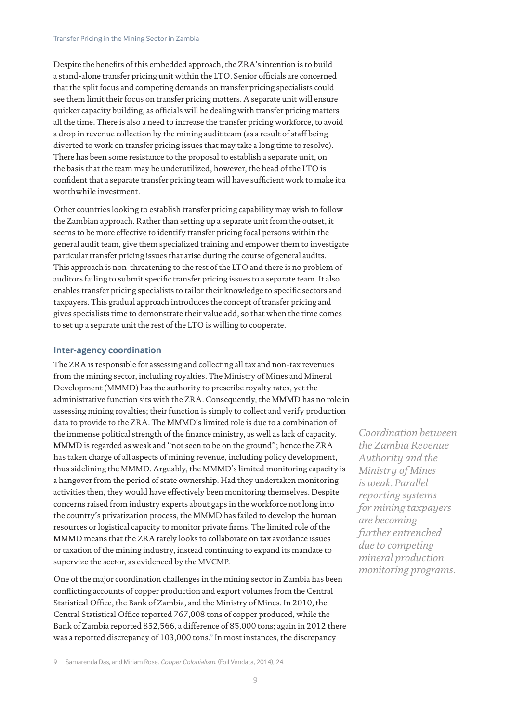Despite the benefits of this embedded approach, the ZRA's intention is to build a stand-alone transfer pricing unit within the LTO. Senior officials are concerned that the split focus and competing demands on transfer pricing specialists could see them limit their focus on transfer pricing matters. A separate unit will ensure quicker capacity building, as officials will be dealing with transfer pricing matters all the time. There is also a need to increase the transfer pricing workforce, to avoid a drop in revenue collection by the mining audit team (as a result of staff being diverted to work on transfer pricing issues that may take a long time to resolve). There has been some resistance to the proposal to establish a separate unit, on the basis that the team may be underutilized, however, the head of the LTO is confident that a separate transfer pricing team will have sufficient work to make it a worthwhile investment.

Other countries looking to establish transfer pricing capability may wish to follow the Zambian approach. Rather than setting up a separate unit from the outset, it seems to be more effective to identify transfer pricing focal persons within the general audit team, give them specialized training and empower them to investigate particular transfer pricing issues that arise during the course of general audits. This approach is non-threatening to the rest of the LTO and there is no problem of auditors failing to submit specific transfer pricing issues to a separate team. It also enables transfer pricing specialists to tailor their knowledge to specific sectors and taxpayers. This gradual approach introduces the concept of transfer pricing and gives specialists time to demonstrate their value add, so that when the time comes to set up a separate unit the rest of the LTO is willing to cooperate.

#### **Inter-agency coordination**

The ZRA is responsible for assessing and collecting all tax and non-tax revenues from the mining sector, including royalties. The Ministry of Mines and Mineral Development (MMMD) has the authority to prescribe royalty rates, yet the administrative function sits with the ZRA. Consequently, the MMMD has no role in assessing mining royalties; their function is simply to collect and verify production data to provide to the ZRA. The MMMD's limited role is due to a combination of the immense political strength of the finance ministry, as well as lack of capacity. MMMD is regarded as weak and "not seen to be on the ground"; hence the ZRA has taken charge of all aspects of mining revenue, including policy development, thus sidelining the MMMD. Arguably, the MMMD's limited monitoring capacity is a hangover from the period of state ownership. Had they undertaken monitoring activities then, they would have effectively been monitoring themselves. Despite concerns raised from industry experts about gaps in the workforce not long into the country's privatization process, the MMMD has failed to develop the human resources or logistical capacity to monitor private firms. The limited role of the MMMD means that the ZRA rarely looks to collaborate on tax avoidance issues or taxation of the mining industry, instead continuing to expand its mandate to supervize the sector, as evidenced by the MVCMP.

One of the major coordination challenges in the mining sector in Zambia has been conflicting accounts of copper production and export volumes from the Central Statistical Office, the Bank of Zambia, and the Ministry of Mines. In 2010, the Central Statistical Office reported 767,008 tons of copper produced, while the Bank of Zambia reported 852,566, a difference of 85,000 tons; again in 2012 there was a reported discrepancy of 103,000 tons.<sup>9</sup> In most instances, the discrepancy

*Coordination between the Zambia Revenue Authority and the Ministry of Mines is weak. Parallel reporting systems for mining taxpayers are becoming further entrenched due to competing mineral production monitoring programs.*

<sup>9</sup> Samarenda Das, and Miriam Rose. *Cooper Colonialism*. (Foil Vendata, 2014), 24.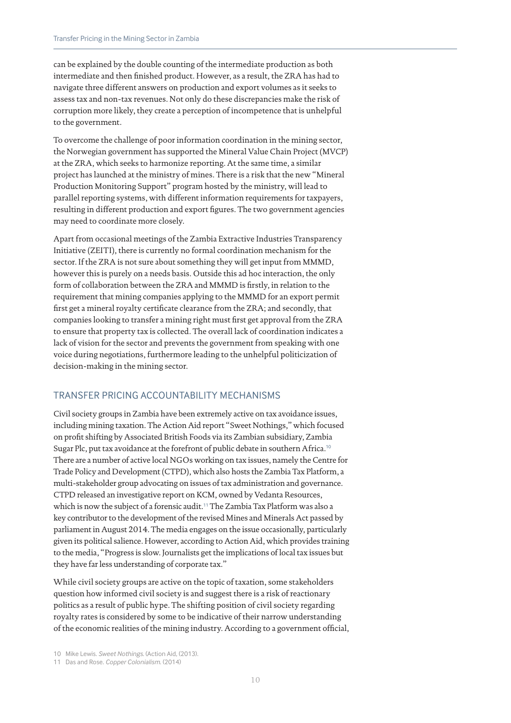can be explained by the double counting of the intermediate production as both intermediate and then finished product. However, as a result, the ZRA has had to navigate three different answers on production and export volumes as it seeks to assess tax and non-tax revenues. Not only do these discrepancies make the risk of corruption more likely, they create a perception of incompetence that is unhelpful to the government.

To overcome the challenge of poor information coordination in the mining sector, the Norwegian government has supported the Mineral Value Chain Project (MVCP) at the ZRA, which seeks to harmonize reporting. At the same time, a similar project has launched at the ministry of mines. There is a risk that the new "Mineral Production Monitoring Support" program hosted by the ministry, will lead to parallel reporting systems, with different information requirements for taxpayers, resulting in different production and export figures. The two government agencies may need to coordinate more closely.

Apart from occasional meetings of the Zambia Extractive Industries Transparency Initiative (ZEITI), there is currently no formal coordination mechanism for the sector. If the ZRA is not sure about something they will get input from MMMD, however this is purely on a needs basis. Outside this ad hoc interaction, the only form of collaboration between the ZRA and MMMD is firstly, in relation to the requirement that mining companies applying to the MMMD for an export permit first get a mineral royalty certificate clearance from the ZRA; and secondly, that companies looking to transfer a mining right must first get approval from the ZRA to ensure that property tax is collected. The overall lack of coordination indicates a lack of vision for the sector and prevents the government from speaking with one voice during negotiations, furthermore leading to the unhelpful politicization of decision-making in the mining sector.

# TRANSFER PRICING ACCOUNTABILITY MECHANISMS

Civil society groups in Zambia have been extremely active on tax avoidance issues, including mining taxation. The Action Aid report "Sweet Nothings," which focused on profit shifting by Associated British Foods via its Zambian subsidiary, Zambia Sugar Plc, put tax avoidance at the forefront of public debate in southern Africa.<sup>10</sup> There are a number of active local NGOs working on tax issues, namely the Centre for Trade Policy and Development (CTPD), which also hosts the Zambia Tax Platform, a multi-stakeholder group advocating on issues of tax administration and governance. CTPD released an investigative report on KCM, owned by Vedanta Resources, which is now the subject of a forensic audit.<sup>11</sup> The Zambia Tax Platform was also a key contributor to the development of the revised Mines and Minerals Act passed by parliament in August 2014. The media engages on the issue occasionally, particularly given its political salience. However, according to Action Aid, which provides training to the media, "Progress is slow. Journalists get the implications of local tax issues but they have far less understanding of corporate tax."

While civil society groups are active on the topic of taxation, some stakeholders question how informed civil society is and suggest there is a risk of reactionary politics as a result of public hype. The shifting position of civil society regarding royalty rates is considered by some to be indicative of their narrow understanding of the economic realities of the mining industry. According to a government official,

<sup>10</sup> Mike Lewis. *Sweet Nothings.* (Action Aid, (2013).

<sup>11</sup> Das and Rose. *Copper Colonialism*. (2014)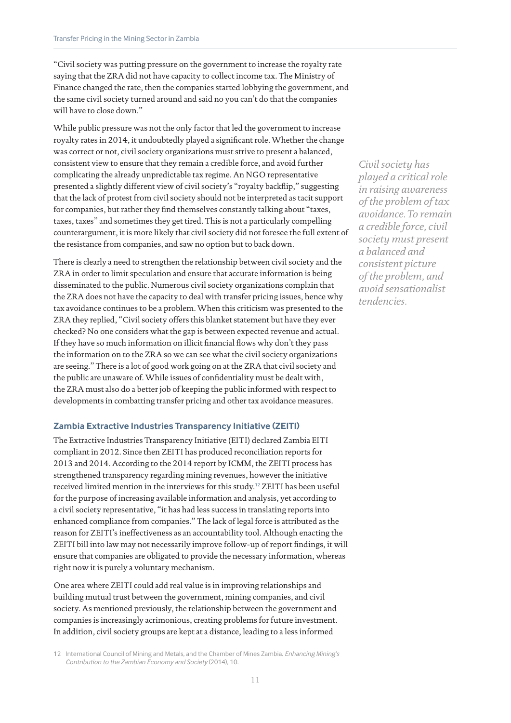"Civil society was putting pressure on the government to increase the royalty rate saying that the ZRA did not have capacity to collect income tax. The Ministry of Finance changed the rate, then the companies started lobbying the government, and the same civil society turned around and said no you can't do that the companies will have to close down."

While public pressure was not the only factor that led the government to increase royalty rates in 2014, it undoubtedly played a significant role. Whether the change was correct or not, civil society organizations must strive to present a balanced, consistent view to ensure that they remain a credible force, and avoid further complicating the already unpredictable tax regime. An NGO representative presented a slightly different view of civil society's "royalty backflip," suggesting that the lack of protest from civil society should not be interpreted as tacit support for companies, but rather they find themselves constantly talking about "taxes, taxes, taxes" and sometimes they get tired. This is not a particularly compelling counterargument, it is more likely that civil society did not foresee the full extent of the resistance from companies, and saw no option but to back down.

There is clearly a need to strengthen the relationship between civil society and the ZRA in order to limit speculation and ensure that accurate information is being disseminated to the public. Numerous civil society organizations complain that the ZRA does not have the capacity to deal with transfer pricing issues, hence why tax avoidance continues to be a problem. When this criticism was presented to the ZRA they replied, "Civil society offers this blanket statement but have they ever checked? No one considers what the gap is between expected revenue and actual. If they have so much information on illicit financial flows why don't they pass the information on to the ZRA so we can see what the civil society organizations are seeing." There is a lot of good work going on at the ZRA that civil society and the public are unaware of. While issues of confidentiality must be dealt with, the ZRA must also do a better job of keeping the public informed with respect to developments in combatting transfer pricing and other tax avoidance measures.

#### **Zambia Extractive Industries Transparency Initiative (ZEITI)**

The Extractive Industries Transparency Initiative (EITI) declared Zambia EITI compliant in 2012. Since then ZEITI has produced reconciliation reports for 2013 and 2014. According to the 2014 report by ICMM, the ZEITI process has strengthened transparency regarding mining revenues, however the initiative received limited mention in the interviews for this study.<sup>12</sup> ZEITI has been useful for the purpose of increasing available information and analysis, yet according to a civil society representative, "it has had less success in translating reports into enhanced compliance from companies." The lack of legal force is attributed as the reason for ZEITI's ineffectiveness as an accountability tool. Although enacting the ZEITI bill into law may not necessarily improve follow-up of report findings, it will ensure that companies are obligated to provide the necessary information, whereas right now it is purely a voluntary mechanism.

One area where ZEITI could add real value is in improving relationships and building mutual trust between the government, mining companies, and civil society. As mentioned previously, the relationship between the government and companies is increasingly acrimonious, creating problems for future investment. In addition, civil society groups are kept at a distance, leading to a less informed

*Civil society has played a critical role in raising awareness of the problem of tax avoidance. To remain a credible force, civil society must present a balanced and consistent picture of the problem, and avoid sensationalist tendencies.*

<sup>12</sup> International Council of Mining and Metals, and the Chamber of Mines Zambia. *Enhancing Mining's Contribution to the Zambian Economy and Society* (2014), 10.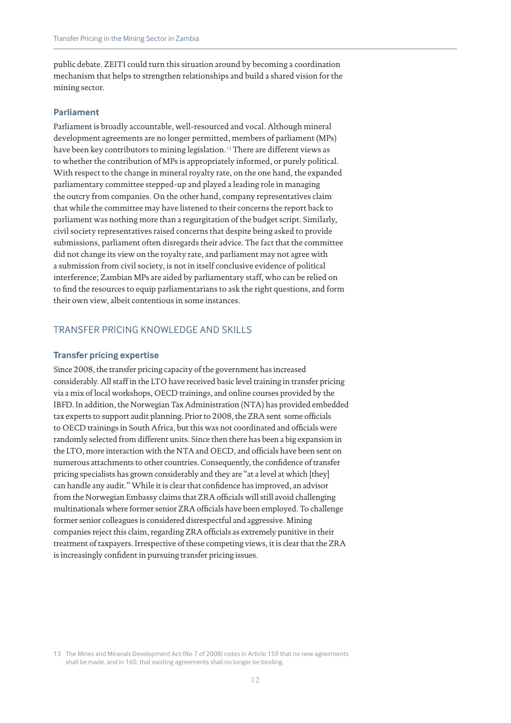public debate. ZEITI could turn this situation around by becoming a coordination mechanism that helps to strengthen relationships and build a shared vision for the mining sector.

#### **Parliament**

Parliament is broadly accountable, well-resourced and vocal. Although mineral development agreements are no longer permitted, members of parliament (MPs) have been key contributors to mining legislation.<sup>13</sup> There are different views as to whether the contribution of MPs is appropriately informed, or purely political. With respect to the change in mineral royalty rate, on the one hand, the expanded parliamentary committee stepped-up and played a leading role in managing the outcry from companies. On the other hand, company representatives claim that while the committee may have listened to their concerns the report back to parliament was nothing more than a regurgitation of the budget script. Similarly, civil society representatives raised concerns that despite being asked to provide submissions, parliament often disregards their advice. The fact that the committee did not change its view on the royalty rate, and parliament may not agree with a submission from civil society, is not in itself conclusive evidence of political interference; Zambian MPs are aided by parliamentary staff, who can be relied on to find the resources to equip parliamentarians to ask the right questions, and form their own view, albeit contentious in some instances.

#### TRANSFER PRICING KNOWLEDGE AND SKILLS

#### **Transfer pricing expertise**

Since 2008, the transfer pricing capacity of the government has increased considerably. All staff in the LTO have received basic level training in transfer pricing via a mix of local workshops, OECD trainings, and online courses provided by the IBFD. In addition, the Norwegian Tax Administration (NTA) has provided embedded tax experts to support audit planning. Prior to 2008, the ZRA sent some officials to OECD trainings in South Africa, but this was not coordinated and officials were randomly selected from different units. Since then there has been a big expansion in the LTO, more interaction with the NTA and OECD, and officials have been sent on numerous attachments to other countries. Consequently, the confidence of transfer pricing specialists has grown considerably and they are "at a level at which [they] can handle any audit." While it is clear that confidence has improved, an advisor from the Norwegian Embassy claims that ZRA officials will still avoid challenging multinationals where former senior ZRA officials have been employed. To challenge former senior colleagues is considered disrespectful and aggressive. Mining companies reject this claim, regarding ZRA officials as extremely punitive in their treatment of taxpayers. Irrespective of these competing views, it is clear that the ZRA is increasingly confident in pursuing transfer pricing issues.

13 The Mines and Minerals Development Act (No 7 of 2008) notes in Article 159 that no new agreements shall be made, and in 160, that existing agreements shall no longer be binding.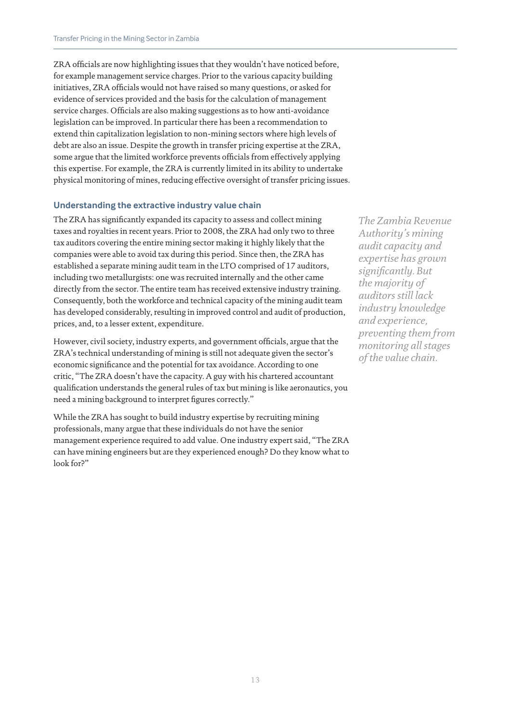ZRA officials are now highlighting issues that they wouldn't have noticed before, for example management service charges. Prior to the various capacity building initiatives, ZRA officials would not have raised so many questions, or asked for evidence of services provided and the basis for the calculation of management service charges. Officials are also making suggestions as to how anti-avoidance legislation can be improved. In particular there has been a recommendation to extend thin capitalization legislation to non-mining sectors where high levels of debt are also an issue. Despite the growth in transfer pricing expertise at the ZRA, some argue that the limited workforce prevents officials from effectively applying this expertise. For example, the ZRA is currently limited in its ability to undertake physical monitoring of mines, reducing effective oversight of transfer pricing issues.

#### **Understanding the extractive industry value chain**

The ZRA has significantly expanded its capacity to assess and collect mining taxes and royalties in recent years. Prior to 2008, the ZRA had only two to three tax auditors covering the entire mining sector making it highly likely that the companies were able to avoid tax during this period. Since then, the ZRA has established a separate mining audit team in the LTO comprised of 17 auditors, including two metallurgists: one was recruited internally and the other came directly from the sector. The entire team has received extensive industry training. Consequently, both the workforce and technical capacity of the mining audit team has developed considerably, resulting in improved control and audit of production, prices, and, to a lesser extent, expenditure.

However, civil society, industry experts, and government officials, argue that the ZRA's technical understanding of mining is still not adequate given the sector's economic significance and the potential for tax avoidance. According to one critic, "The ZRA doesn't have the capacity. A guy with his chartered accountant qualification understands the general rules of tax but mining is like aeronautics, you need a mining background to interpret figures correctly."

While the ZRA has sought to build industry expertise by recruiting mining professionals, many argue that these individuals do not have the senior management experience required to add value. One industry expert said, "The ZRA can have mining engineers but are they experienced enough? Do they know what to look for?"

*The Zambia Revenue Authority's mining audit capacity and expertise has grown significantly. But the majority of auditors still lack industry knowledge and experience, preventing them from monitoring all stages of the value chain.*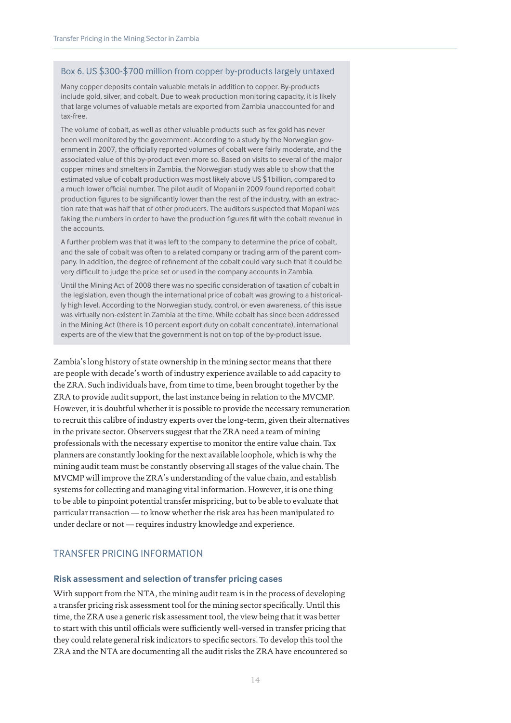#### Box 6. US \$300-\$700 million from copper by-products largely untaxed

Many copper deposits contain valuable metals in addition to copper. By-products include gold, silver, and cobalt. Due to weak production monitoring capacity, it is likely that large volumes of valuable metals are exported from Zambia unaccounted for and tax-free.

The volume of cobalt, as well as other valuable products such as fex gold has never been well monitored by the government. According to a study by the Norwegian government in 2007, the officially reported volumes of cobalt were fairly moderate, and the associated value of this by-product even more so. Based on visits to several of the major copper mines and smelters in Zambia, the Norwegian study was able to show that the estimated value of cobalt production was most likely above US \$1billion, compared to a much lower official number. The pilot audit of Mopani in 2009 found reported cobalt production figures to be significantly lower than the rest of the industry, with an extraction rate that was half that of other producers. The auditors suspected that Mopani was faking the numbers in order to have the production figures fit with the cobalt revenue in the accounts.

A further problem was that it was left to the company to determine the price of cobalt, and the sale of cobalt was often to a related company or trading arm of the parent company. In addition, the degree of refinement of the cobalt could vary such that it could be very difficult to judge the price set or used in the company accounts in Zambia.

Until the Mining Act of 2008 there was no specific consideration of taxation of cobalt in the legislation, even though the international price of cobalt was growing to a historically high level. According to the Norwegian study, control, or even awareness, of this issue was virtually non-existent in Zambia at the time. While cobalt has since been addressed in the Mining Act (there is 10 percent export duty on cobalt concentrate), international experts are of the view that the government is not on top of the by-product issue.

Zambia's long history of state ownership in the mining sector means that there are people with decade's worth of industry experience available to add capacity to the ZRA. Such individuals have, from time to time, been brought together by the ZRA to provide audit support, the last instance being in relation to the MVCMP. However, it is doubtful whether it is possible to provide the necessary remuneration to recruit this calibre of industry experts over the long-term, given their alternatives in the private sector. Observers suggest that the ZRA need a team of mining professionals with the necessary expertise to monitor the entire value chain. Tax planners are constantly looking for the next available loophole, which is why the mining audit team must be constantly observing all stages of the value chain. The MVCMP will improve the ZRA's understanding of the value chain, and establish systems for collecting and managing vital information. However, it is one thing to be able to pinpoint potential transfer mispricing, but to be able to evaluate that particular transaction — to know whether the risk area has been manipulated to under declare or not — requires industry knowledge and experience.

# TRANSFER PRICING INFORMATION

#### **Risk assessment and selection of transfer pricing cases**

With support from the NTA, the mining audit team is in the process of developing a transfer pricing risk assessment tool for the mining sector specifically. Until this time, the ZRA use a generic risk assessment tool, the view being that it was better to start with this until officials were sufficiently well-versed in transfer pricing that they could relate general risk indicators to specific sectors. To develop this tool the ZRA and the NTA are documenting all the audit risks the ZRA have encountered so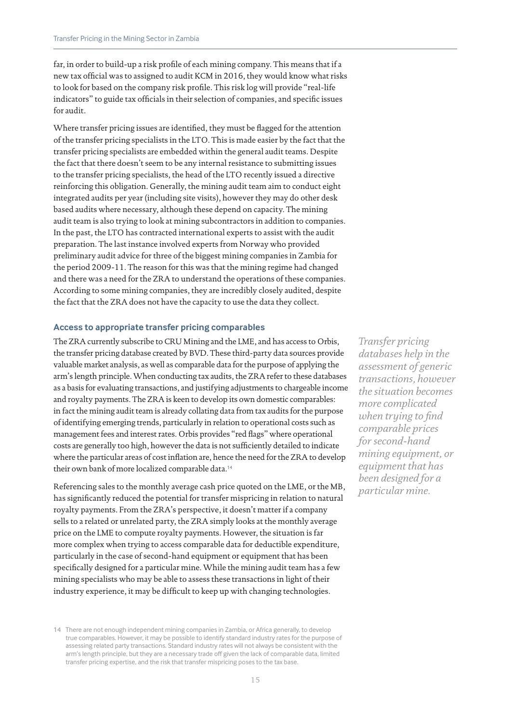far, in order to build-up a risk profile of each mining company. This means that if a new tax official was to assigned to audit KCM in 2016, they would know what risks to look for based on the company risk profile. This risk log will provide "real-life indicators" to guide tax officials in their selection of companies, and specific issues for audit.

Where transfer pricing issues are identified, they must be flagged for the attention of the transfer pricing specialists in the LTO. This is made easier by the fact that the transfer pricing specialists are embedded within the general audit teams. Despite the fact that there doesn't seem to be any internal resistance to submitting issues to the transfer pricing specialists, the head of the LTO recently issued a directive reinforcing this obligation. Generally, the mining audit team aim to conduct eight integrated audits per year (including site visits), however they may do other desk based audits where necessary, although these depend on capacity. The mining audit team is also trying to look at mining subcontractors in addition to companies. In the past, the LTO has contracted international experts to assist with the audit preparation. The last instance involved experts from Norway who provided preliminary audit advice for three of the biggest mining companies in Zambia for the period 2009-11. The reason for this was that the mining regime had changed and there was a need for the ZRA to understand the operations of these companies. According to some mining companies, they are incredibly closely audited, despite the fact that the ZRA does not have the capacity to use the data they collect.

#### **Access to appropriate transfer pricing comparables**

The ZRA currently subscribe to CRU Mining and the LME, and has access to Orbis, the transfer pricing database created by BVD. These third-party data sources provide valuable market analysis, as well as comparable data for the purpose of applying the arm's length principle. When conducting tax audits, the ZRA refer to these databases as a basis for evaluating transactions, and justifying adjustments to chargeable income and royalty payments. The ZRA is keen to develop its own domestic comparables: in fact the mining audit team is already collating data from tax audits for the purpose of identifying emerging trends, particularly in relation to operational costs such as management fees and interest rates. Orbis provides "red flags" where operational costs are generally too high, however the data is not sufficiently detailed to indicate where the particular areas of cost inflation are, hence the need for the ZRA to develop their own bank of more localized comparable data.<sup>14</sup>

Referencing sales to the monthly average cash price quoted on the LME, or the MB, has significantly reduced the potential for transfer mispricing in relation to natural royalty payments. From the ZRA's perspective, it doesn't matter if a company sells to a related or unrelated party, the ZRA simply looks at the monthly average price on the LME to compute royalty payments. However, the situation is far more complex when trying to access comparable data for deductible expenditure, particularly in the case of second-hand equipment or equipment that has been specifically designed for a particular mine. While the mining audit team has a few mining specialists who may be able to assess these transactions in light of their industry experience, it may be difficult to keep up with changing technologies.

14 There are not enough independent mining companies in Zambia, or Africa generally, to develop true comparables. However, it may be possible to identify standard industry rates for the purpose of assessing related party transactions. Standard industry rates will not always be consistent with the arm's length principle, but they are a necessary trade off given the lack of comparable data, limited transfer pricing expertise, and the risk that transfer mispricing poses to the tax base.

*Transfer pricing databases help in the assessment of generic transactions, however the situation becomes more complicated when trying to find comparable prices for second-hand mining equipment, or equipment that has been designed for a particular mine.*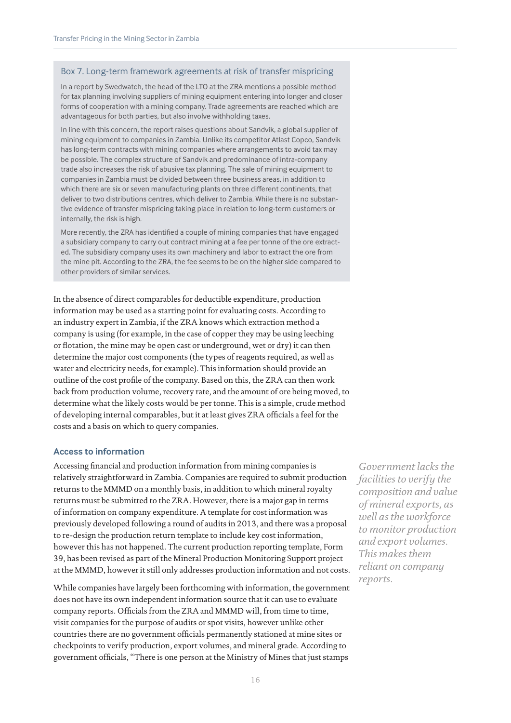#### Box 7. Long-term framework agreements at risk of transfer mispricing

In a report by Swedwatch, the head of the LTO at the ZRA mentions a possible method for tax planning involving suppliers of mining equipment entering into longer and closer forms of cooperation with a mining company. Trade agreements are reached which are advantageous for both parties, but also involve withholding taxes.

In line with this concern, the report raises questions about Sandvik, a global supplier of mining equipment to companies in Zambia. Unlike its competitor Atlast Copco, Sandvik has long-term contracts with mining companies where arrangements to avoid tax may be possible. The complex structure of Sandvik and predominance of intra-company trade also increases the risk of abusive tax planning. The sale of mining equipment to companies in Zambia must be divided between three business areas, in addition to which there are six or seven manufacturing plants on three different continents, that deliver to two distributions centres, which deliver to Zambia. While there is no substantive evidence of transfer mispricing taking place in relation to long-term customers or internally, the risk is high.

More recently, the ZRA has identified a couple of mining companies that have engaged a subsidiary company to carry out contract mining at a fee per tonne of the ore extracted. The subsidiary company uses its own machinery and labor to extract the ore from the mine pit. According to the ZRA, the fee seems to be on the higher side compared to other providers of similar services.

In the absence of direct comparables for deductible expenditure, production information may be used as a starting point for evaluating costs. According to an industry expert in Zambia, if the ZRA knows which extraction method a company is using (for example, in the case of copper they may be using leeching or flotation, the mine may be open cast or underground, wet or dry) it can then determine the major cost components (the types of reagents required, as well as water and electricity needs, for example). This information should provide an outline of the cost profile of the company. Based on this, the ZRA can then work back from production volume, recovery rate, and the amount of ore being moved, to determine what the likely costs would be per tonne. This is a simple, crude method of developing internal comparables, but it at least gives ZRA officials a feel for the costs and a basis on which to query companies.

#### **Access to information**

Accessing financial and production information from mining companies is relatively straightforward in Zambia. Companies are required to submit production returns to the MMMD on a monthly basis, in addition to which mineral royalty returns must be submitted to the ZRA. However, there is a major gap in terms of information on company expenditure. A template for cost information was previously developed following a round of audits in 2013, and there was a proposal to re-design the production return template to include key cost information, however this has not happened. The current production reporting template, Form 39, has been revised as part of the Mineral Production Monitoring Support project at the MMMD, however it still only addresses production information and not costs.

While companies have largely been forthcoming with information, the government does not have its own independent information source that it can use to evaluate company reports. Officials from the ZRA and MMMD will, from time to time, visit companies for the purpose of audits or spot visits, however unlike other countries there are no government officials permanently stationed at mine sites or checkpoints to verify production, export volumes, and mineral grade. According to government officials, "There is one person at the Ministry of Mines that just stamps

*Government lacks the facilities to verify the composition and value of mineral exports, as well as the workforce to monitor production and export volumes. This makes them reliant on company reports.*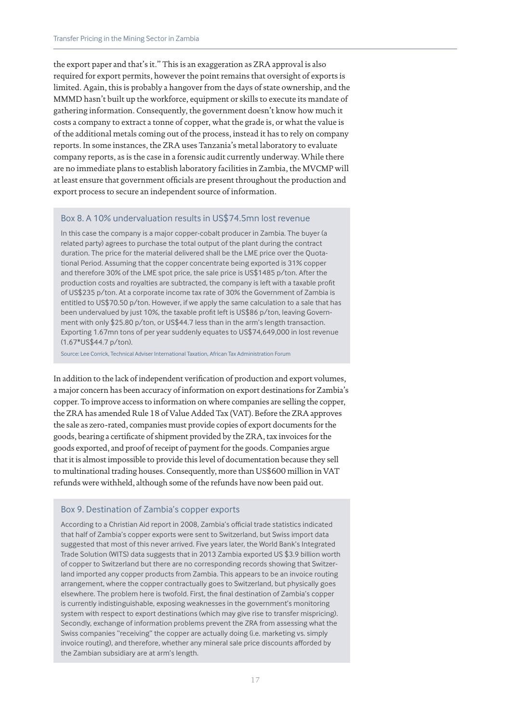the export paper and that's it." This is an exaggeration as ZRA approval is also required for export permits, however the point remains that oversight of exports is limited. Again, this is probably a hangover from the days of state ownership, and the MMMD hasn't built up the workforce, equipment or skills to execute its mandate of gathering information. Consequently, the government doesn't know how much it costs a company to extract a tonne of copper, what the grade is, or what the value is of the additional metals coming out of the process, instead it has to rely on company reports. In some instances, the ZRA uses Tanzania's metal laboratory to evaluate company reports, as is the case in a forensic audit currently underway. While there are no immediate plans to establish laboratory facilities in Zambia, the MVCMP will at least ensure that government officials are present throughout the production and export process to secure an independent source of information.

#### Box 8. A 10% undervaluation results in US\$74.5mn lost revenue

In this case the company is a major copper-cobalt producer in Zambia. The buyer (a related party) agrees to purchase the total output of the plant during the contract duration. The price for the material delivered shall be the LME price over the Quotational Period. Assuming that the copper concentrate being exported is 31% copper and therefore 30% of the LME spot price, the sale price is US\$1485 p/ton. After the production costs and royalties are subtracted, the company is left with a taxable profit of US\$235 p/ton. At a corporate income tax rate of 30% the Government of Zambia is entitled to US\$70.50 p/ton. However, if we apply the same calculation to a sale that has been undervalued by just 10%, the taxable profit left is US\$86 p/ton, leaving Government with only \$25.80 p/ton, or US\$44.7 less than in the arm's length transaction. Exporting 1.67mn tons of per year suddenly equates to US\$74,649,000 in lost revenue (1.67\*US\$44.7 p/ton).

Source: Lee Corrick, Technical Adviser International Taxation, African Tax Administration Forum

In addition to the lack of independent verification of production and export volumes, a major concern has been accuracy of information on export destinations for Zambia's copper. To improve access to information on where companies are selling the copper, the ZRA has amended Rule 18 of Value Added Tax (VAT). Before the ZRA approves the sale as zero-rated, companies must provide copies of export documents for the goods, bearing a certificate of shipment provided by the ZRA, tax invoices for the goods exported, and proof of receipt of payment for the goods. Companies argue that it is almost impossible to provide this level of documentation because they sell to multinational trading houses. Consequently, more than US\$600 million in VAT refunds were withheld, although some of the refunds have now been paid out.

#### Box 9. Destination of Zambia's copper exports

According to a Christian Aid report in 2008, Zambia's official trade statistics indicated that half of Zambia's copper exports were sent to Switzerland, but Swiss import data suggested that most of this never arrived. Five years later, the World Bank's Integrated Trade Solution (WITS) data suggests that in 2013 Zambia exported US \$3.9 billion worth of copper to Switzerland but there are no corresponding records showing that Switzerland imported any copper products from Zambia. This appears to be an invoice routing arrangement, where the copper contractually goes to Switzerland, but physically goes elsewhere. The problem here is twofold. First, the final destination of Zambia's copper is currently indistinguishable, exposing weaknesses in the government's monitoring system with respect to export destinations (which may give rise to transfer mispricing). Secondly, exchange of information problems prevent the ZRA from assessing what the Swiss companies "receiving" the copper are actually doing (i.e. marketing vs. simply invoice routing), and therefore, whether any mineral sale price discounts afforded by the Zambian subsidiary are at arm's length.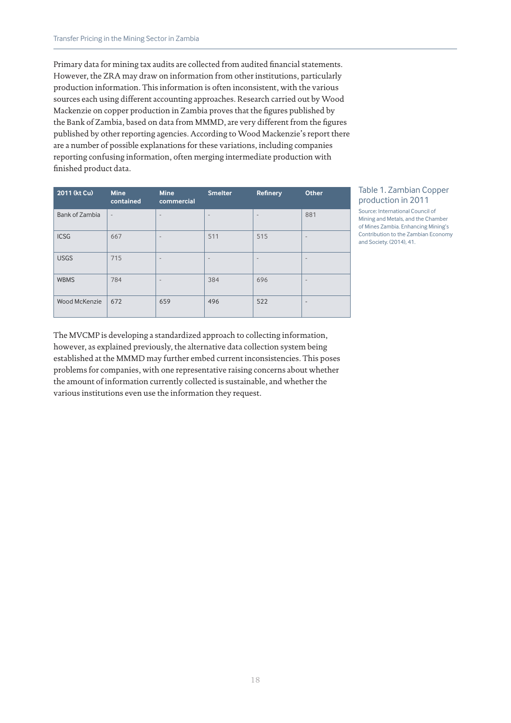Primary data for mining tax audits are collected from audited financial statements. However, the ZRA may draw on information from other institutions, particularly production information. This information is often inconsistent, with the various sources each using different accounting approaches. Research carried out by Wood Mackenzie on copper production in Zambia proves that the figures published by the Bank of Zambia, based on data from MMMD, are very different from the figures published by other reporting agencies. According to Wood Mackenzie's report there are a number of possible explanations for these variations, including companies reporting confusing information, often merging intermediate production with finished product data.

| 2011 (kt Cu)   | <b>Mine</b><br>contained | <b>Mine</b><br>commercial | <b>Smelter</b>           | <b>Refinery</b>          | <b>Other</b>             |
|----------------|--------------------------|---------------------------|--------------------------|--------------------------|--------------------------|
| Bank of Zambia | $\overline{\phantom{a}}$ | $\qquad \qquad$           | $\overline{\phantom{a}}$ | $\overline{\phantom{a}}$ | 881                      |
| <b>ICSG</b>    | 667                      | $\overline{\phantom{0}}$  | 511                      | 515                      | $\qquad \qquad$          |
| <b>USGS</b>    | 715                      | $\overline{\phantom{0}}$  | $\overline{\phantom{a}}$ | $\overline{\phantom{a}}$ | $\overline{\phantom{m}}$ |
| <b>WBMS</b>    | 784                      | $\qquad \qquad$           | 384                      | 696                      | $\qquad \qquad$          |
| Wood McKenzie  | 672                      | 659                       | 496                      | 522                      | $\overline{\phantom{a}}$ |

## Table 1. Zambian Copper production in 2011

Source: International Council of Mining and Metals, and the Chamber of Mines Zambia. Enhancing Mining's Contribution to the Zambian Economy and Society. (2014), 41.

The MVCMP is developing a standardized approach to collecting information, however, as explained previously, the alternative data collection system being established at the MMMD may further embed current inconsistencies. This poses problems for companies, with one representative raising concerns about whether the amount of information currently collected is sustainable, and whether the various institutions even use the information they request.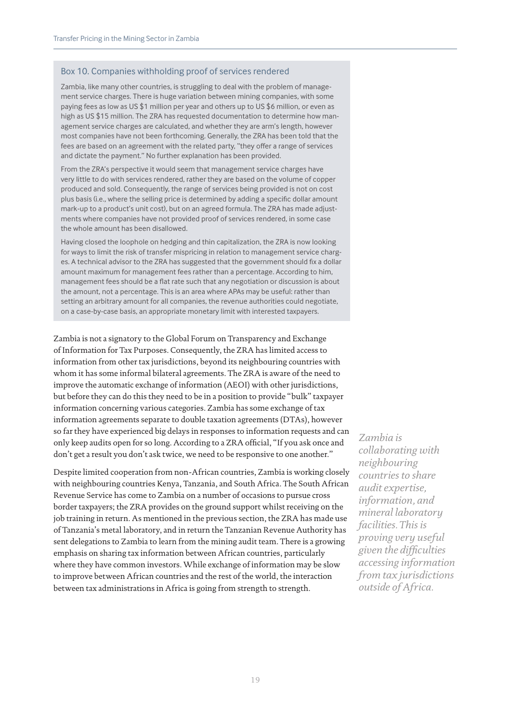#### Box 10. Companies withholding proof of services rendered

Zambia, like many other countries, is struggling to deal with the problem of management service charges. There is huge variation between mining companies, with some paying fees as low as US \$1 million per year and others up to US \$6 million, or even as high as US \$15 million. The ZRA has requested documentation to determine how management service charges are calculated, and whether they are arm's length, however most companies have not been forthcoming. Generally, the ZRA has been told that the fees are based on an agreement with the related party, "they offer a range of services and dictate the payment." No further explanation has been provided.

From the ZRA's perspective it would seem that management service charges have very little to do with services rendered, rather they are based on the volume of copper produced and sold. Consequently, the range of services being provided is not on cost plus basis (i.e., where the selling price is determined by adding a specific dollar amount mark-up to a product's unit cost), but on an agreed formula. The ZRA has made adjustments where companies have not provided proof of services rendered, in some case the whole amount has been disallowed.

Having closed the loophole on hedging and thin capitalization, the ZRA is now looking for ways to limit the risk of transfer mispricing in relation to management service charges. A technical advisor to the ZRA has suggested that the government should fix a dollar amount maximum for management fees rather than a percentage. According to him, management fees should be a flat rate such that any negotiation or discussion is about the amount, not a percentage. This is an area where APAs may be useful: rather than setting an arbitrary amount for all companies, the revenue authorities could negotiate, on a case-by-case basis, an appropriate monetary limit with interested taxpayers.

Zambia is not a signatory to the Global Forum on Transparency and Exchange of Information for Tax Purposes. Consequently, the ZRA has limited access to information from other tax jurisdictions, beyond its neighbouring countries with whom it has some informal bilateral agreements. The ZRA is aware of the need to improve the automatic exchange of information (AEOI) with other jurisdictions, but before they can do this they need to be in a position to provide "bulk" taxpayer information concerning various categories. Zambia has some exchange of tax information agreements separate to double taxation agreements (DTAs), however so far they have experienced big delays in responses to information requests and can only keep audits open for so long. According to a ZRA official, "If you ask once and don't get a result you don't ask twice, we need to be responsive to one another."

Despite limited cooperation from non-African countries, Zambia is working closely with neighbouring countries Kenya, Tanzania, and South Africa. The South African Revenue Service has come to Zambia on a number of occasions to pursue cross border taxpayers; the ZRA provides on the ground support whilst receiving on the job training in return. As mentioned in the previous section, the ZRA has made use of Tanzania's metal laboratory, and in return the Tanzanian Revenue Authority has sent delegations to Zambia to learn from the mining audit team. There is a growing emphasis on sharing tax information between African countries, particularly where they have common investors. While exchange of information may be slow to improve between African countries and the rest of the world, the interaction between tax administrations in Africa is going from strength to strength.

*Zambia is collaborating with neighbouring countries to share audit expertise, information, and mineral laboratory facilities. This is proving very useful given the difficulties accessing information from tax jurisdictions outside of Africa.*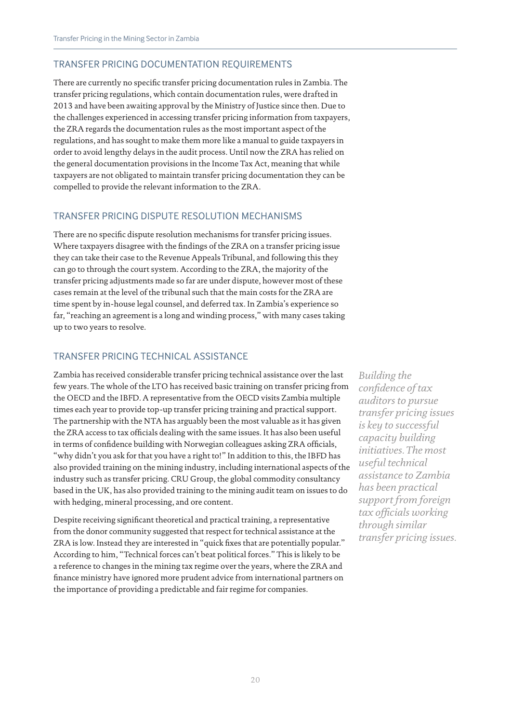# TRANSFER PRICING DOCUMENTATION REQUIREMENTS

There are currently no specific transfer pricing documentation rules in Zambia. The transfer pricing regulations, which contain documentation rules, were drafted in 2013 and have been awaiting approval by the Ministry of Justice since then. Due to the challenges experienced in accessing transfer pricing information from taxpayers, the ZRA regards the documentation rules as the most important aspect of the regulations, and has sought to make them more like a manual to guide taxpayers in order to avoid lengthy delays in the audit process. Until now the ZRA has relied on the general documentation provisions in the Income Tax Act, meaning that while taxpayers are not obligated to maintain transfer pricing documentation they can be compelled to provide the relevant information to the ZRA.

# TRANSFER PRICING DISPUTE RESOLUTION MECHANISMS

There are no specific dispute resolution mechanisms for transfer pricing issues. Where taxpayers disagree with the findings of the ZRA on a transfer pricing issue they can take their case to the Revenue Appeals Tribunal, and following this they can go to through the court system. According to the ZRA, the majority of the transfer pricing adjustments made so far are under dispute, however most of these cases remain at the level of the tribunal such that the main costs for the ZRA are time spent by in-house legal counsel, and deferred tax. In Zambia's experience so far, "reaching an agreement is a long and winding process," with many cases taking up to two years to resolve.

# TRANSFER PRICING TECHNICAL ASSISTANCE

Zambia has received considerable transfer pricing technical assistance over the last few years. The whole of the LTO has received basic training on transfer pricing from the OECD and the IBFD. A representative from the OECD visits Zambia multiple times each year to provide top-up transfer pricing training and practical support. The partnership with the NTA has arguably been the most valuable as it has given the ZRA access to tax officials dealing with the same issues. It has also been useful in terms of confidence building with Norwegian colleagues asking ZRA officials, "why didn't you ask for that you have a right to!" In addition to this, the IBFD has also provided training on the mining industry, including international aspects of the industry such as transfer pricing. CRU Group, the global commodity consultancy based in the UK, has also provided training to the mining audit team on issues to do with hedging, mineral processing, and ore content.

Despite receiving significant theoretical and practical training, a representative from the donor community suggested that respect for technical assistance at the ZRA is low. Instead they are interested in "quick fixes that are potentially popular." According to him, "Technical forces can't beat political forces." This is likely to be a reference to changes in the mining tax regime over the years, where the ZRA and finance ministry have ignored more prudent advice from international partners on the importance of providing a predictable and fair regime for companies.

*Building the confidence of tax auditors to pursue transfer pricing issues is key to successful capacity building initiatives. The most useful technical assistance to Zambia has been practical support from foreign tax officials working through similar transfer pricing issues.*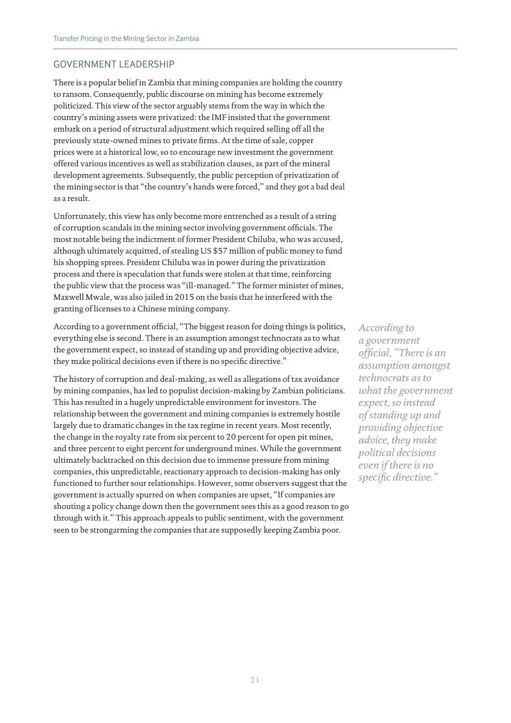# GOVERNMENT LEADERSHIP

There is a popular belief in Zambia that mining companies are holding the country to ransom. Consequently, public discourse on mining has become extremely politicized. This view of the sector arguably stems from the way in which the country's mining assets were privatized: the IMF insisted that the government embark on a period of structural adjustment which required selling off all the previously state-owned mines to private firms. At the time of sale, copper prices were at a historical low, so to encourage new investment the government offered various incentives as well as stabilization clauses, as part of the mineral development agreements. Subsequently, the public perception of privatization of the mining sector is that "the country's hands were forced," and they got a bad deal as a result.

Unfortunately, this view has only become more entrenched as a result of a string of corruption scandals in the mining sector involving government officials. The most notable being the indictment of former President Chiluba, who was accused, although ultimately acquitted, of stealing US \$57 million of public money to fund his shopping sprees. President Chiluba was in power during the privatization process and there is speculation that funds were stolen at that time, reinforcing the public view that the process was "ill-managed." The former minister of mines, Maxwell Mwale, was also jailed in 2015 on the basis that he interfered with the granting of licenses to a Chinese mining company.

According to a government official, "The biggest reason for doing things is politics, everything else is second. There is an assumption amongst technocrats as to what the government expect, so instead of standing up and providing objective advice, they make political decisions even if there is no specific directive."

The history of corruption and deal-making, as well as allegations of tax avoidance by mining companies, has led to populist decision-making by Zambian politicians. This has resulted in a hugely unpredictable environment for investors. The relationship between the government and mining companies is extremely hostile largely due to dramatic changes in the tax regime in recent years. Most recently, the change in the royalty rate from six percent to 20 percent for open pit mines, and three percent to eight percent for underground mines. While the government ultimately backtracked on this decision due to immense pressure from mining companies, this unpredictable, reactionary approach to decision-making has only functioned to further sour relationships. However, some observers suggest that the government is actually spurred on when companies are upset, "If companies are shouting a policy change down then the government sees this as a good reason to go through with it." This approach appeals to public sentiment, with the government seen to be strongarming the companies that are supposedly keeping Zambia poor.

*According to a government official, "There is an assumption amongst technocrats as to what the government expect, so instead of standing up and providing objective advice, they make political decisions even if there is no specific directive."*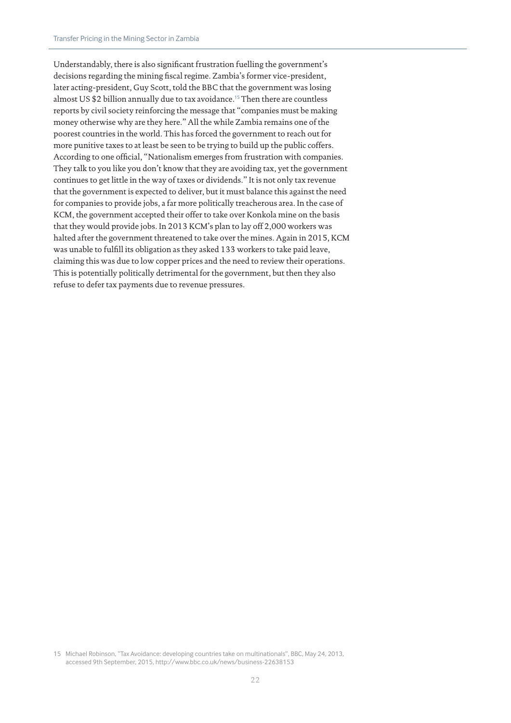Understandably, there is also significant frustration fuelling the government's decisions regarding the mining fiscal regime. Zambia's former vice-president, later acting-president, Guy Scott, told the BBC that the government was losing almost US \$2 billion annually due to tax avoidance.<sup>15</sup> Then there are countless reports by civil society reinforcing the message that "companies must be making money otherwise why are they here." All the while Zambia remains one of the poorest countries in the world. This has forced the government to reach out for more punitive taxes to at least be seen to be trying to build up the public coffers. According to one official, "Nationalism emerges from frustration with companies. They talk to you like you don't know that they are avoiding tax, yet the government continues to get little in the way of taxes or dividends." It is not only tax revenue that the government is expected to deliver, but it must balance this against the need for companies to provide jobs, a far more politically treacherous area. In the case of KCM, the government accepted their offer to take over Konkola mine on the basis that they would provide jobs. In 2013 KCM's plan to lay off 2,000 workers was halted after the government threatened to take over the mines. Again in 2015, KCM was unable to fulfill its obligation as they asked 133 workers to take paid leave, claiming this was due to low copper prices and the need to review their operations. This is potentially politically detrimental for the government, but then they also refuse to defer tax payments due to revenue pressures.

<sup>15</sup> Michael Robinson, "Tax Avoidance: developing countries take on multinationals", BBC, May 24, 2013, accessed 9th September, 2015, http://www.bbc.co.uk/news/business-22638153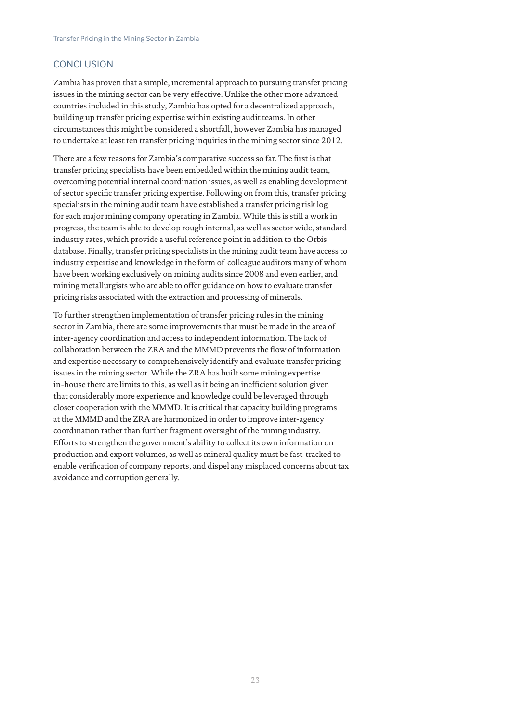# **CONCLUSION**

Zambia has proven that a simple, incremental approach to pursuing transfer pricing issues in the mining sector can be very effective. Unlike the other more advanced countries included in this study, Zambia has opted for a decentralized approach, building up transfer pricing expertise within existing audit teams. In other circumstances this might be considered a shortfall, however Zambia has managed to undertake at least ten transfer pricing inquiries in the mining sector since 2012.

There are a few reasons for Zambia's comparative success so far. The first is that transfer pricing specialists have been embedded within the mining audit team, overcoming potential internal coordination issues, as well as enabling development of sector specific transfer pricing expertise. Following on from this, transfer pricing specialists in the mining audit team have established a transfer pricing risk log for each major mining company operating in Zambia. While this is still a work in progress, the team is able to develop rough internal, as well as sector wide, standard industry rates, which provide a useful reference point in addition to the Orbis database. Finally, transfer pricing specialists in the mining audit team have access to industry expertise and knowledge in the form of colleague auditors many of whom have been working exclusively on mining audits since 2008 and even earlier, and mining metallurgists who are able to offer guidance on how to evaluate transfer pricing risks associated with the extraction and processing of minerals.

To further strengthen implementation of transfer pricing rules in the mining sector in Zambia, there are some improvements that must be made in the area of inter-agency coordination and access to independent information. The lack of collaboration between the ZRA and the MMMD prevents the flow of information and expertise necessary to comprehensively identify and evaluate transfer pricing issues in the mining sector. While the ZRA has built some mining expertise in-house there are limits to this, as well as it being an inefficient solution given that considerably more experience and knowledge could be leveraged through closer cooperation with the MMMD. It is critical that capacity building programs at the MMMD and the ZRA are harmonized in order to improve inter-agency coordination rather than further fragment oversight of the mining industry. Efforts to strengthen the government's ability to collect its own information on production and export volumes, as well as mineral quality must be fast-tracked to enable verification of company reports, and dispel any misplaced concerns about tax avoidance and corruption generally.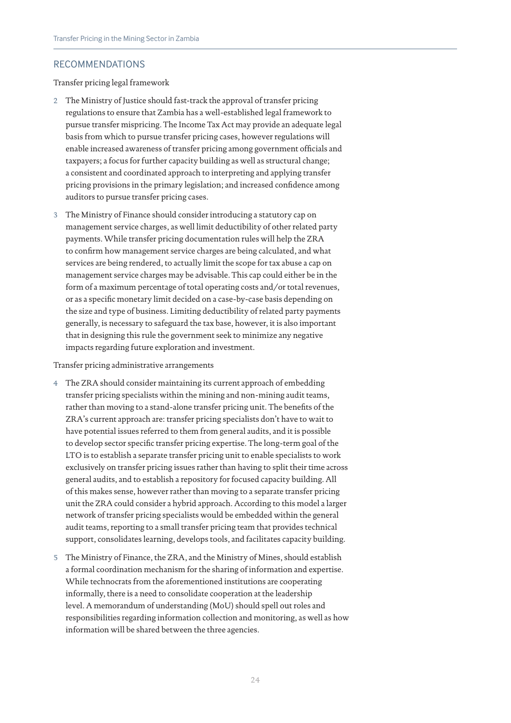# RECOMMENDATIONS

Transfer pricing legal framework

- 2 The Ministry of Justice should fast-track the approval of transfer pricing regulations to ensure that Zambia has a well-established legal framework to pursue transfer mispricing. The Income Tax Act may provide an adequate legal basis from which to pursue transfer pricing cases, however regulations will enable increased awareness of transfer pricing among government officials and taxpayers; a focus for further capacity building as well as structural change; a consistent and coordinated approach to interpreting and applying transfer pricing provisions in the primary legislation; and increased confidence among auditors to pursue transfer pricing cases.
- 3 The Ministry of Finance should consider introducing a statutory cap on management service charges, as well limit deductibility of other related party payments. While transfer pricing documentation rules will help the ZRA to confirm how management service charges are being calculated, and what services are being rendered, to actually limit the scope for tax abuse a cap on management service charges may be advisable. This cap could either be in the form of a maximum percentage of total operating costs and/or total revenues, or as a specific monetary limit decided on a case-by-case basis depending on the size and type of business. Limiting deductibility of related party payments generally, is necessary to safeguard the tax base, however, it is also important that in designing this rule the government seek to minimize any negative impacts regarding future exploration and investment.

Transfer pricing administrative arrangements

- 4 The ZRA should consider maintaining its current approach of embedding transfer pricing specialists within the mining and non-mining audit teams, rather than moving to a stand-alone transfer pricing unit. The benefits of the ZRA's current approach are: transfer pricing specialists don't have to wait to have potential issues referred to them from general audits, and it is possible to develop sector specific transfer pricing expertise. The long-term goal of the LTO is to establish a separate transfer pricing unit to enable specialists to work exclusively on transfer pricing issues rather than having to split their time across general audits, and to establish a repository for focused capacity building. All of this makes sense, however rather than moving to a separate transfer pricing unit the ZRA could consider a hybrid approach. According to this model a larger network of transfer pricing specialists would be embedded within the general audit teams, reporting to a small transfer pricing team that provides technical support, consolidates learning, develops tools, and facilitates capacity building.
- 5 The Ministry of Finance, the ZRA, and the Ministry of Mines, should establish a formal coordination mechanism for the sharing of information and expertise. While technocrats from the aforementioned institutions are cooperating informally, there is a need to consolidate cooperation at the leadership level. A memorandum of understanding (MoU) should spell out roles and responsibilities regarding information collection and monitoring, as well as how information will be shared between the three agencies.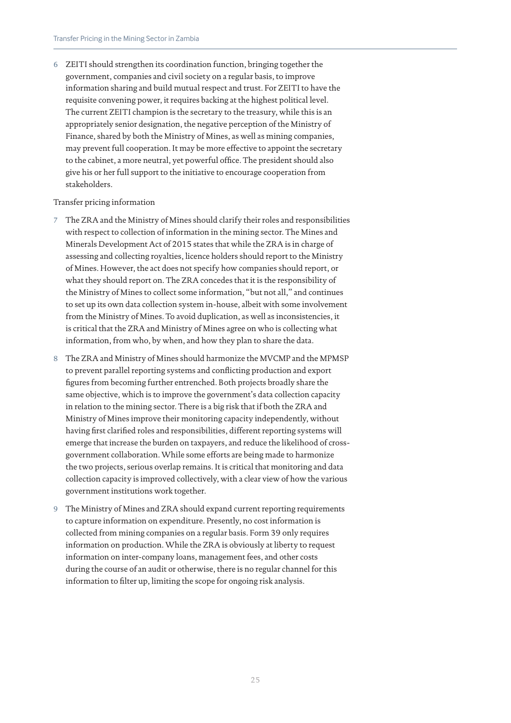6 ZEITI should strengthen its coordination function, bringing together the government, companies and civil society on a regular basis, to improve information sharing and build mutual respect and trust. For ZEITI to have the requisite convening power, it requires backing at the highest political level. The current ZEITI champion is the secretary to the treasury, while this is an appropriately senior designation, the negative perception of the Ministry of Finance, shared by both the Ministry of Mines, as well as mining companies, may prevent full cooperation. It may be more effective to appoint the secretary to the cabinet, a more neutral, yet powerful office. The president should also give his or her full support to the initiative to encourage cooperation from stakeholders.

#### Transfer pricing information

- 7 The ZRA and the Ministry of Mines should clarify their roles and responsibilities with respect to collection of information in the mining sector. The Mines and Minerals Development Act of 2015 states that while the ZRA is in charge of assessing and collecting royalties, licence holders should report to the Ministry of Mines. However, the act does not specify how companies should report, or what they should report on. The ZRA concedes that it is the responsibility of the Ministry of Mines to collect some information, "but not all," and continues to set up its own data collection system in-house, albeit with some involvement from the Ministry of Mines. To avoid duplication, as well as inconsistencies, it is critical that the ZRA and Ministry of Mines agree on who is collecting what information, from who, by when, and how they plan to share the data.
- 8 The ZRA and Ministry of Mines should harmonize the MVCMP and the MPMSP to prevent parallel reporting systems and conflicting production and export figures from becoming further entrenched. Both projects broadly share the same objective, which is to improve the government's data collection capacity in relation to the mining sector. There is a big risk that if both the ZRA and Ministry of Mines improve their monitoring capacity independently, without having first clarified roles and responsibilities, different reporting systems will emerge that increase the burden on taxpayers, and reduce the likelihood of crossgovernment collaboration. While some efforts are being made to harmonize the two projects, serious overlap remains. It is critical that monitoring and data collection capacity is improved collectively, with a clear view of how the various government institutions work together.
- 9 The Ministry of Mines and ZRA should expand current reporting requirements to capture information on expenditure. Presently, no cost information is collected from mining companies on a regular basis. Form 39 only requires information on production. While the ZRA is obviously at liberty to request information on inter-company loans, management fees, and other costs during the course of an audit or otherwise, there is no regular channel for this information to filter up, limiting the scope for ongoing risk analysis.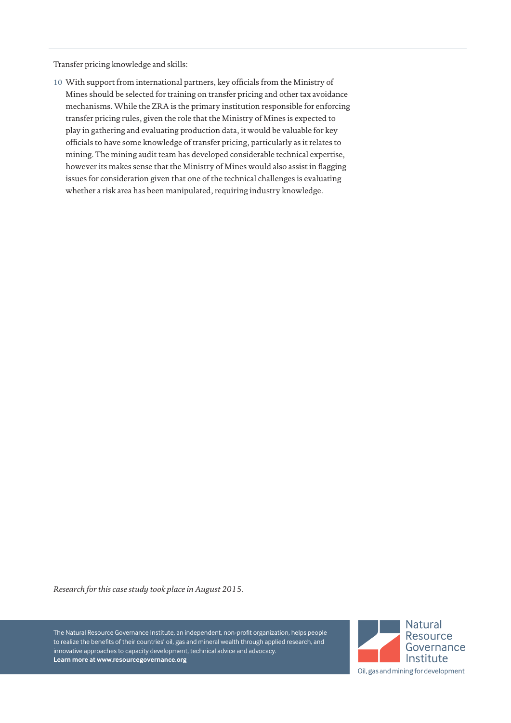Transfer pricing knowledge and skills:

10 With support from international partners, key officials from the Ministry of Mines should be selected for training on transfer pricing and other tax avoidance mechanisms. While the ZRA is the primary institution responsible for enforcing transfer pricing rules, given the role that the Ministry of Mines is expected to play in gathering and evaluating production data, it would be valuable for key officials to have some knowledge of transfer pricing, particularly as it relates to mining. The mining audit team has developed considerable technical expertise, however its makes sense that the Ministry of Mines would also assist in flagging issues for consideration given that one of the technical challenges is evaluating whether a risk area has been manipulated, requiring industry knowledge.

*Research for this case study took place in August 2015.*

The Natural Resource Governance Institute, an independent, non-profit organization, helps people to realize the benefits of their countries' oil, gas and mineral wealth through applied research, and innovative approaches to capacity development, technical advice and advocacy. **Learn more at www.resourcegovernance.org**

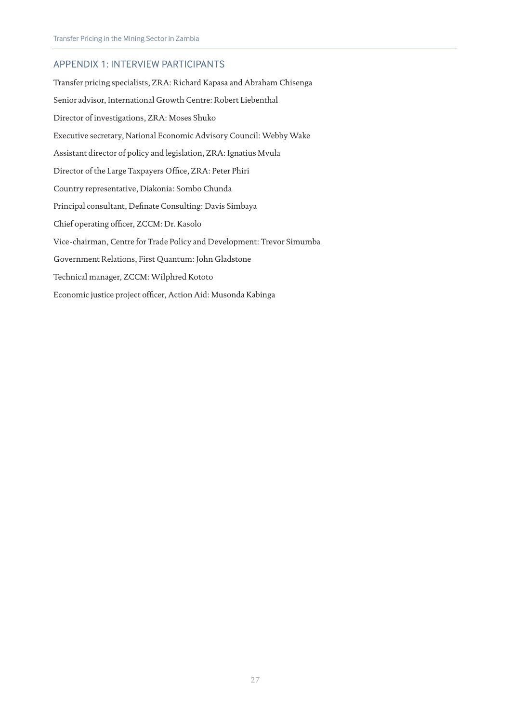# APPENDIX 1: INTERVIEW PARTICIPANTS

Transfer pricing specialists, ZRA: Richard Kapasa and Abraham Chisenga Senior advisor, International Growth Centre: Robert Liebenthal Director of investigations, ZRA: Moses Shuko Executive secretary, National Economic Advisory Council: Webby Wake Assistant director of policy and legislation, ZRA: Ignatius Mvula Director of the Large Taxpayers Office, ZRA: Peter Phiri Country representative, Diakonia: Sombo Chunda Principal consultant, Definate Consulting: Davis Simbaya Chief operating officer, ZCCM: Dr. Kasolo Vice-chairman, Centre for Trade Policy and Development: Trevor Simumba Government Relations, First Quantum: John Gladstone Technical manager, ZCCM: Wilphred Kototo Economic justice project officer, Action Aid: Musonda Kabinga